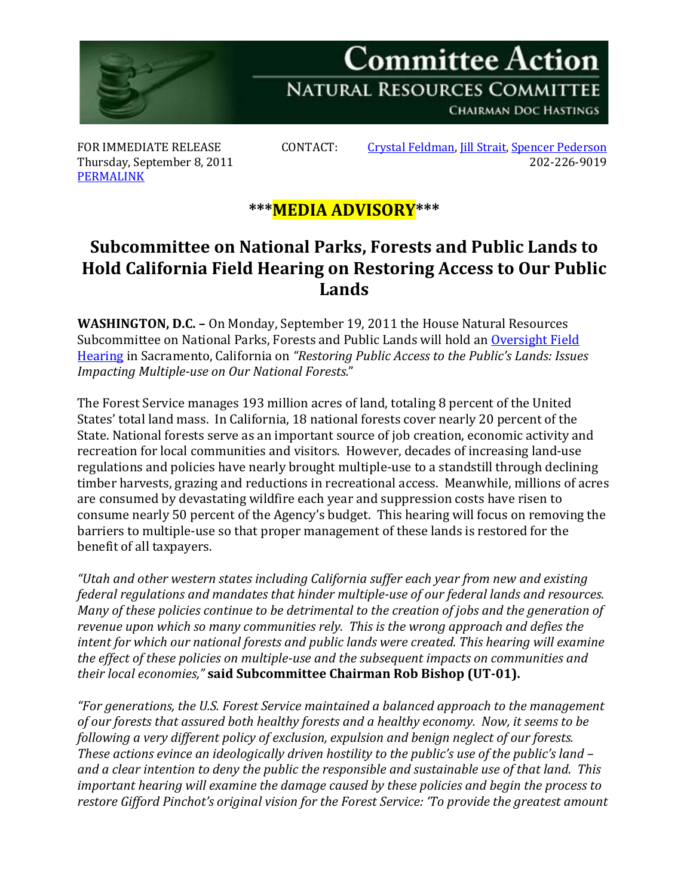

Thursday, September 8, 2011 [PERMALINK](http://naturalresources.house.gov/News/DocumentSingle.aspx?DocumentID=258948)

FOR IMMEDIATE RELEASE CONTACT: [Crystal Feldman,](mailto:crystal.feldman@mail.house.gov) [Jill Strait,](mailto:jill.strait@mail.house.gov) [Spencer Pederson](mailto:spencer.pederson@mail.house.gov)<br>Thursday, September 8, 2011

## **\*\*\*MEDIA ADVISORY\*\*\***

## **Subcommittee on National Parks, Forests and Public Lands to Hold California Field Hearing on Restoring Access to Our Public Lands**

**WASHINGTON, D.C. –** On Monday, September 19, 2011 the House Natural Resources Subcommittee on National Parks, Forests and Public Lands will hold an Oversight Field [Hearing](http://naturalresources.house.gov/Calendar/EventSingle.aspx?EventID=258843) in Sacramento, California on *"Restoring Public Access to the Public's Lands: Issues Impacting Multiple-use on Our National Forests.*"

The Forest Service manages 193 million acres of land, totaling 8 percent of the United States' total land mass. In California, 18 national forests cover nearly 20 percent of the State. National forests serve as an important source of job creation, economic activity and recreation for local communities and visitors. However, decades of increasing land-use regulations and policies have nearly brought multiple-use to a standstill through declining timber harvests, grazing and reductions in recreational access. Meanwhile, millions of acres are consumed by devastating wildfire each year and suppression costs have risen to consume nearly 50 percent of the Agency's budget. This hearing will focus on removing the barriers to multiple-use so that proper management of these lands is restored for the benefit of all taxpayers.

*"Utah and other western states including California suffer each year from new and existing federal regulations and mandates that hinder multiple-use of our federal lands and resources. Many of these policies continue to be detrimental to the creation of jobs and the generation of revenue upon which so many communities rely. This is the wrong approach and defies the intent for which our national forests and public lands were created. This hearing will examine the effect of these policies on multiple-use and the subsequent impacts on communities and their local economies,"* **said Subcommittee Chairman Rob Bishop (UT-01).**

*"For generations, the U.S. Forest Service maintained a balanced approach to the management of our forests that assured both healthy forests and a healthy economy. Now, it seems to be following a very different policy of exclusion, expulsion and benign neglect of our forests. These actions evince an ideologically driven hostility to the public's use of the public's land – and a clear intention to deny the public the responsible and sustainable use of that land. This important hearing will examine the damage caused by these policies and begin the process to restore Gifford Pinchot's original vision for the Forest Service: 'To provide the greatest amount*